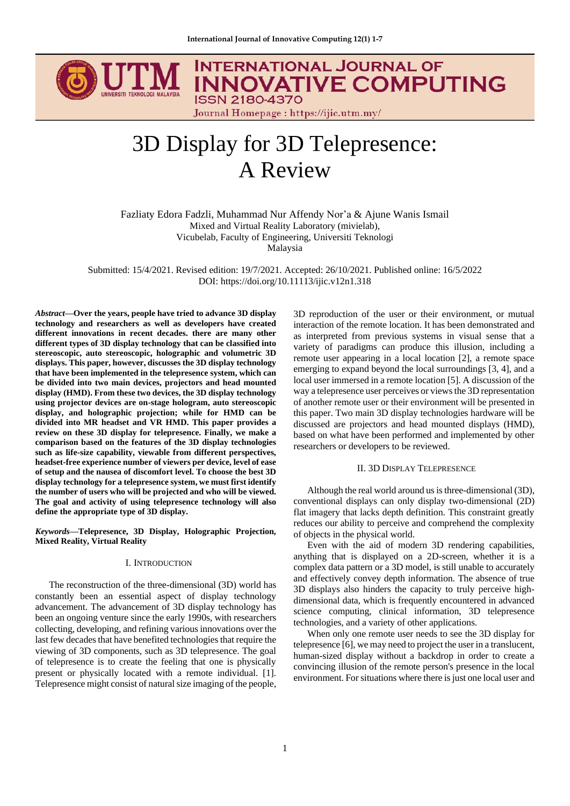

# **INTERNATIONAL JOURNAL OF INNOVATIVE COMPUTING**

Journal Homepage : https://ijic.utm.my/

# 3D Display for 3D Telepresence: A Review

Fazliaty Edora Fadzli, Muhammad Nur Affendy Nor'a & Ajune Wanis Ismail Mixed and Virtual Reality Laboratory (mivielab), Vicubelab, Faculty of Engineering, Universiti Teknologi Malaysia

Submitted: 15/4/2021. Revised edition: 19/7/2021. Accepted: 26/10/2021. Published online: 16/5/2022 DOI: https://doi.org/10.11113/ijic.v12n1.318

*Abstract***—Over the years, people have tried to advance 3D display technology and researchers as well as developers have created different innovations in recent decades. there are many other different types of 3D display technology that can be classified into stereoscopic, auto stereoscopic, holographic and volumetric 3D displays. This paper, however, discusses the 3D display technology that have been implemented in the telepresence system, which can be divided into two main devices, projectors and head mounted display (HMD). From these two devices, the 3D display technology using projector devices are on-stage hologram, auto stereoscopic display, and holographic projection; while for HMD can be divided into MR headset and VR HMD. This paper provides a review on these 3D display for telepresence. Finally, we make a comparison based on the features of the 3D display technologies such as life-size capability, viewable from different perspectives, headset-free experience number of viewers per device, level of ease of setup and the nausea of discomfort level. To choose the best 3D display technology for a telepresence system, we must first identify the number of users who will be projected and who will be viewed. The goal and activity of using telepresence technology will also define the appropriate type of 3D display.** 

*Keywords***—Telepresence, 3D Display, Holographic Projection, Mixed Reality, Virtual Reality**

#### I. INTRODUCTION

The reconstruction of the three-dimensional (3D) world has constantly been an essential aspect of display technology advancement. The advancement of 3D display technology has been an ongoing venture since the early 1990s, with researchers collecting, developing, and refining various innovations over the last few decades that have benefited technologies that require the viewing of 3D components, such as 3D telepresence. The goal of telepresence is to create the feeling that one is physically present or physically located with a remote individual. [1]. Telepresence might consist of natural size imaging of the people,

3D reproduction of the user or their environment, or mutual interaction of the remote location. It has been demonstrated and as interpreted from previous systems in visual sense that a variety of paradigms can produce this illusion, including a remote user appearing in a local location [2], a remote space emerging to expand beyond the local surroundings [3, 4], and a local user immersed in a remote location [5]. A discussion of the way a telepresence user perceives or views the 3D representation of another remote user or their environment will be presented in this paper. Two main 3D display technologies hardware will be discussed are projectors and head mounted displays (HMD), based on what have been performed and implemented by other researchers or developers to be reviewed.

#### II. 3D DISPLAY TELEPRESENCE

Although the real world around us is three-dimensional (3D), conventional displays can only display two-dimensional (2D) flat imagery that lacks depth definition. This constraint greatly reduces our ability to perceive and comprehend the complexity of objects in the physical world.

Even with the aid of modern 3D rendering capabilities, anything that is displayed on a 2D-screen, whether it is a complex data pattern or a 3D model, is still unable to accurately and effectively convey depth information. The absence of true 3D displays also hinders the capacity to truly perceive highdimensional data, which is frequently encountered in advanced science computing, clinical information, 3D telepresence technologies, and a variety of other applications.

When only one remote user needs to see the 3D display for telepresence [6], we may need to project the user in a translucent, human-sized display without a backdrop in order to create a convincing illusion of the remote person's presence in the local environment. For situations where there is just one local user and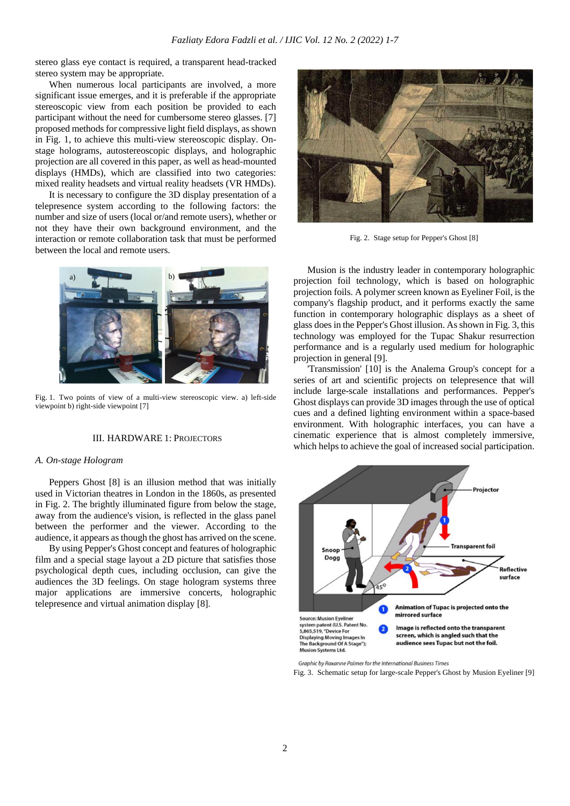stereo glass eye contact is required, a transparent head-tracked stereo system may be appropriate.

When numerous local participants are involved, a more significant issue emerges, and it is preferable if the appropriate stereoscopic view from each position be provided to each participant without the need for cumbersome stereo glasses. [7] proposed methods for compressive light field displays, as shown in Fig. 1, to achieve this multi-view stereoscopic display. Onstage holograms, autostereoscopic displays, and holographic projection are all covered in this paper, as well as head-mounted displays (HMDs), which are classified into two categories: mixed reality headsets and virtual reality headsets (VR HMDs).

It is necessary to configure the 3D display presentation of a telepresence system according to the following factors: the number and size of users (local or/and remote users), whether or not they have their own background environment, and the interaction or remote collaboration task that must be performed between the local and remote users.



Fig. 1. Two points of view of a multi-view stereoscopic view. a) left-side viewpoint b) right-side viewpoint [7]

# III. HARDWARE 1: PROJECTORS

#### *A. On-stage Hologram*

Peppers Ghost [8] is an illusion method that was initially used in Victorian theatres in London in the 1860s, as presented in Fig. 2. The brightly illuminated figure from below the stage, away from the audience's vision, is reflected in the glass panel between the performer and the viewer. According to the audience, it appears as though the ghost has arrived on the scene.

By using Pepper's Ghost concept and features of holographic film and a special stage layout a 2D picture that satisfies those psychological depth cues, including occlusion, can give the audiences the 3D feelings. On stage hologram systems three major applications are immersive concerts, holographic telepresence and virtual animation display [8].



Fig. 2. Stage setup for Pepper's Ghost [8]

Musion is the industry leader in contemporary holographic projection foil technology, which is based on holographic projection foils. A polymer screen known as Eyeliner Foil, is the company's flagship product, and it performs exactly the same function in contemporary holographic displays as a sheet of glass does in the Pepper's Ghost illusion. As shown in Fig. 3, this technology was employed for the Tupac Shakur resurrection performance and is a regularly used medium for holographic projection in general [9].

'Transmission' [10] is the Analema Group's concept for a series of art and scientific projects on telepresence that will include large-scale installations and performances. Pepper's Ghost displays can provide 3D images through the use of optical cues and a defined lighting environment within a space-based environment. With holographic interfaces, you can have a cinematic experience that is almost completely immersive, which helps to achieve the goal of increased social participation.



Fig. 3. Schematic setup for large-scale Pepper's Ghost by Musion Eyeliner [9]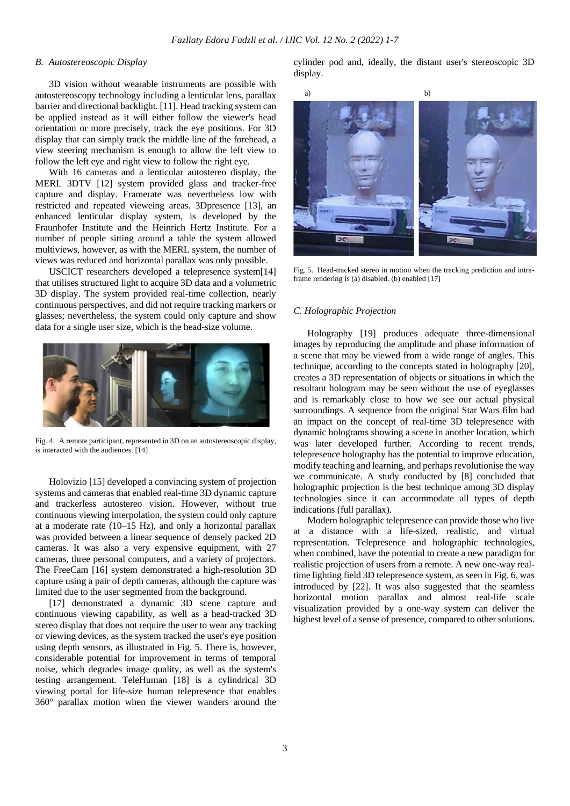# *B. Autostereoscopic Display*

3D vision without wearable instruments are possible with autostereoscopy technology including a lenticular lens, parallax barrier and directional backlight. [11]. Head tracking system can be applied instead as it will either follow the viewer's head orientation or more precisely, track the eye positions. For 3D display that can simply track the middle line of the forehead, a view steering mechanism is enough to allow the left view to follow the left eye and right view to follow the right eye.

With 16 cameras and a lenticular autostereo display, the MERL 3DTV [12] system provided glass and tracker-free capture and display. Framerate was nevertheless low with restricted and repeated vieweing areas. 3Dpresence [13], an enhanced lenticular display system, is developed by the Fraunhofer Institute and the Heinrich Hertz Institute. For a number of people sitting around a table the system allowed multiviews, however, as with the MERL system, the number of views was reduced and horizontal parallax was only possible.

USCICT researchers developed a telepresence system[14] that utilises structured light to acquire 3D data and a volumetric 3D display. The system provided real-time collection, nearly continuous perspectives, and did not require tracking markers or glasses; nevertheless, the system could only capture and show data for a single user size, which is the head-size volume.



Fig. 4. A remote participant, represented in 3D on an autostereoscopic display, is interacted with the audiences. [14]

Holovizio [15] developed a convincing system of projection systems and cameras that enabled real-time 3D dynamic capture and trackerless autostereo vision. However, without true continuous viewing interpolation, the system could only capture at a moderate rate (10–15 Hz), and only a horizontal parallax was provided between a linear sequence of densely packed 2D cameras. It was also a very expensive equipment, with 27 cameras, three personal computers, and a variety of projectors. The FreeCam [16] system demonstrated a high-resolution 3D capture using a pair of depth cameras, although the capture was limited due to the user segmented from the background.

[17] demonstrated a dynamic 3D scene capture and continuous viewing capability, as well as a head-tracked 3D stereo display that does not require the user to wear any tracking or viewing devices, as the system tracked the user's eye position using depth sensors, as illustrated in Fig. 5. There is, however, considerable potential for improvement in terms of temporal noise, which degrades image quality, as well as the system's testing arrangement. TeleHuman [18] is a cylindrical 3D viewing portal for life-size human telepresence that enables 360° parallax motion when the viewer wanders around the cylinder pod and, ideally, the distant user's stereoscopic 3D display.



Fig. 5. Head-tracked stereo in motion when the tracking prediction and intraframe rendering is (a) disabled. (b) enabled [17]

#### *C. Holographic Projection*

Holography [19] produces adequate three-dimensional images by reproducing the amplitude and phase information of a scene that may be viewed from a wide range of angles. This technique, according to the concepts stated in holography [20], creates a 3D representation of objects or situations in which the resultant hologram may be seen without the use of eyeglasses and is remarkably close to how we see our actual physical surroundings. A sequence from the original Star Wars film had an impact on the concept of real-time 3D telepresence with dynamic holograms showing a scene in another location, which was later developed further. According to recent trends, telepresence holography has the potential to improve education, modify teaching and learning, and perhaps revolutionise the way we communicate. A study conducted by [8] concluded that holographic projection is the best technique among 3D display technologies since it can accommodate all types of depth indications (full parallax).

Modern holographic telepresence can provide those who live at a distance with a life-sized, realistic, and virtual representation. Telepresence and holographic technologies, when combined, have the potential to create a new paradigm for realistic projection of users from a remote. A new one-way realtime lighting field 3D telepresence system, as seen in Fig. 6, was introduced by [22]. It was also suggested that the seamless horizontal motion parallax and almost real-life scale visualization provided by a one-way system can deliver the highest level of a sense of presence, compared to other solutions.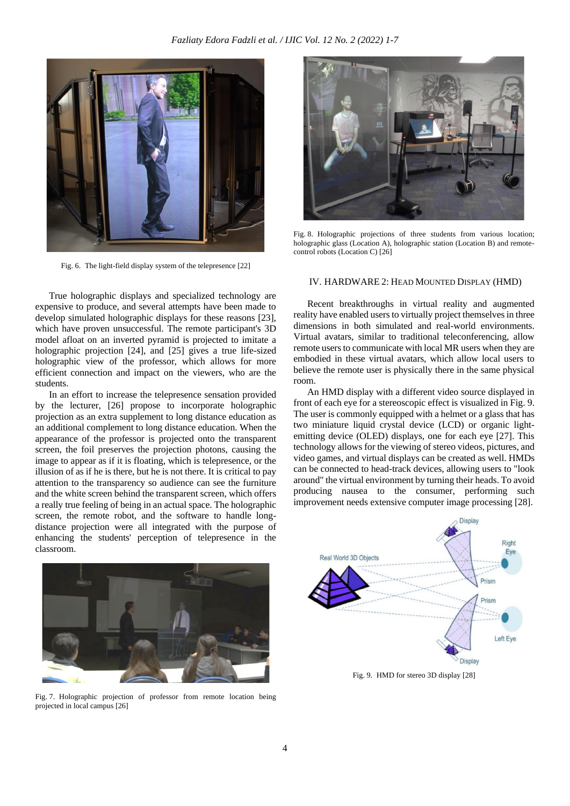

Fig. 6. The light-field display system of the telepresence [22]

True holographic displays and specialized technology are expensive to produce, and several attempts have been made to develop simulated holographic displays for these reasons [23], which have proven unsuccessful. The remote participant's 3D model afloat on an inverted pyramid is projected to imitate a holographic projection [24], and [25] gives a true life-sized holographic view of the professor, which allows for more efficient connection and impact on the viewers, who are the students.

In an effort to increase the telepresence sensation provided by the lecturer, [26] propose to incorporate holographic projection as an extra supplement to long distance education as an additional complement to long distance education. When the appearance of the professor is projected onto the transparent screen, the foil preserves the projection photons, causing the image to appear as if it is floating, which is telepresence, or the illusion of as if he is there, but he is not there. It is critical to pay attention to the transparency so audience can see the furniture and the white screen behind the transparent screen, which offers a really true feeling of being in an actual space. The holographic screen, the remote robot, and the software to handle longdistance projection were all integrated with the purpose of enhancing the students' perception of telepresence in the classroom.



Fig. 8. Holographic projections of three students from various location; holographic glass (Location A), holographic station (Location B) and remotecontrol robots (Location C) [26]

### IV. HARDWARE 2: HEAD MOUNTED DISPLAY (HMD)

Recent breakthroughs in virtual reality and augmented reality have enabled users to virtually project themselves in three dimensions in both simulated and real-world environments. Virtual avatars, similar to traditional teleconferencing, allow remote users to communicate with local MR users when they are embodied in these virtual avatars, which allow local users to believe the remote user is physically there in the same physical room.

An HMD display with a different video source displayed in front of each eye for a stereoscopic effect is visualized in Fig. 9. The user is commonly equipped with a helmet or a glass that has two miniature liquid crystal device (LCD) or organic lightemitting device (OLED) displays, one for each eye [27]. This technology allows for the viewing of stereo videos, pictures, and video games, and virtual displays can be created as well. HMDs can be connected to head-track devices, allowing users to "look around" the virtual environment by turning their heads. To avoid producing nausea to the consumer, performing such improvement needs extensive computer image processing [28].



Fig. 7. Holographic projection of professor from remote location being projected in local campus [26]



Fig. 9. HMD for stereo 3D display [28]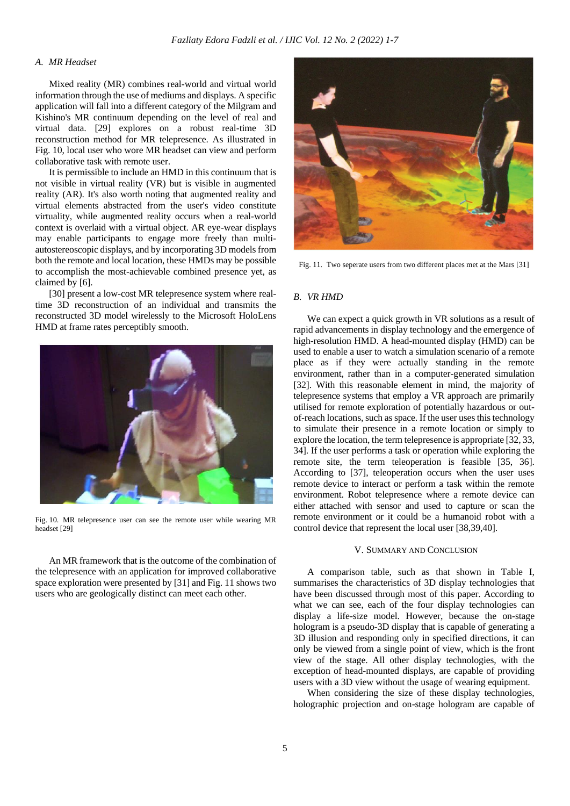# *A. MR Headset*

Mixed reality (MR) combines real-world and virtual world information through the use of mediums and displays. A specific application will fall into a different category of the Milgram and Kishino's MR continuum depending on the level of real and virtual data. [29] explores on a robust real-time 3D reconstruction method for MR telepresence. As illustrated in Fig. 10, local user who wore MR headset can view and perform collaborative task with remote user.

It is permissible to include an HMD in this continuum that is not visible in virtual reality (VR) but is visible in augmented reality (AR). It's also worth noting that augmented reality and virtual elements abstracted from the user's video constitute virtuality, while augmented reality occurs when a real-world context is overlaid with a virtual object. AR eye-wear displays may enable participants to engage more freely than multiautostereoscopic displays, and by incorporating 3D models from both the remote and local location, these HMDs may be possible to accomplish the most-achievable combined presence yet, as claimed by [6].

[30] present a low-cost MR telepresence system where realtime 3D reconstruction of an individual and transmits the reconstructed 3D model wirelessly to the Microsoft HoloLens HMD at frame rates perceptibly smooth.



Fig. 10. MR telepresence user can see the remote user while wearing MR headset [29]

An MR framework that is the outcome of the combination of the telepresence with an application for improved collaborative space exploration were presented by [31] and Fig. 11 shows two users who are geologically distinct can meet each other.



Fig. 11. Two seperate users from two different places met at the Mars [31]

#### *B. VR HMD*

We can expect a quick growth in VR solutions as a result of rapid advancements in display technology and the emergence of high-resolution HMD. A head-mounted display (HMD) can be used to enable a user to watch a simulation scenario of a remote place as if they were actually standing in the remote environment, rather than in a computer-generated simulation [32]. With this reasonable element in mind, the majority of telepresence systems that employ a VR approach are primarily utilised for remote exploration of potentially hazardous or outof-reach locations, such as space. If the user uses this technology to simulate their presence in a remote location or simply to explore the location, the term telepresence is appropriate [32, 33, 34]. If the user performs a task or operation while exploring the remote site, the term teleoperation is feasible [35, 36]. According to [37], teleoperation occurs when the user uses remote device to interact or perform a task within the remote environment. Robot telepresence where a remote device can either attached with sensor and used to capture or scan the remote environment or it could be a humanoid robot with a control device that represent the local user [38,39,40].

#### V. SUMMARY AND CONCLUSION

A comparison table, such as that shown in Table I, summarises the characteristics of 3D display technologies that have been discussed through most of this paper. According to what we can see, each of the four display technologies can display a life-size model. However, because the on-stage hologram is a pseudo-3D display that is capable of generating a 3D illusion and responding only in specified directions, it can only be viewed from a single point of view, which is the front view of the stage. All other display technologies, with the exception of head-mounted displays, are capable of providing users with a 3D view without the usage of wearing equipment.

When considering the size of these display technologies, holographic projection and on-stage hologram are capable of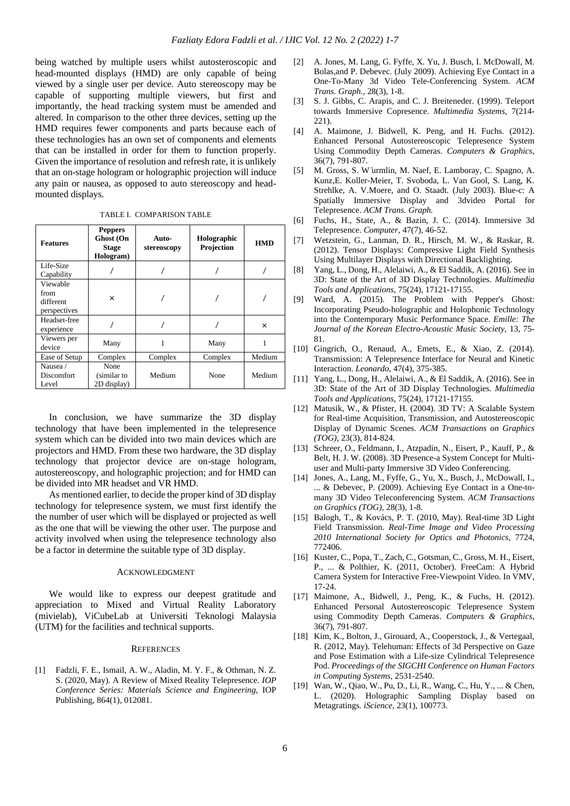being watched by multiple users whilst autosteroscopic and head-mounted displays (HMD) are only capable of being viewed by a single user per device. Auto stereoscopy may be capable of supporting multiple viewers, but first and importantly, the head tracking system must be amended and altered. In comparison to the other three devices, setting up the HMD requires fewer components and parts because each of these technologies has an own set of components and elements that can be installed in order for them to function properly. Given the importance of resolution and refresh rate, it is unlikely that an on-stage hologram or holographic projection will induce any pain or nausea, as opposed to auto stereoscopy and headmounted displays.

|  | TABLE I. COMPARISON TABLE |
|--|---------------------------|
|--|---------------------------|

| <b>Features</b>                               | <b>Peppers</b><br>Ghost (On<br><b>Stage</b><br>Hologram) | Auto-<br>stereoscopy | Holographic<br>Projection | <b>HMD</b> |
|-----------------------------------------------|----------------------------------------------------------|----------------------|---------------------------|------------|
| Life-Size<br>Capability                       |                                                          |                      |                           |            |
| Viewable<br>from<br>different<br>perspectives | ×                                                        |                      |                           |            |
| Headset-free<br>experience                    |                                                          |                      |                           | $\times$   |
| Viewers per<br>device                         | Many                                                     |                      | Many                      |            |
| Ease of Setup                                 | Complex                                                  | Complex              | Complex                   | Medium     |
| Nausea /<br><b>Discomfort</b><br>Level        | None<br>(similar to<br>2D display)                       | Medium               | None                      | Medium     |

In conclusion, we have summarize the 3D display technology that have been implemented in the telepresence system which can be divided into two main devices which are projectors and HMD. From these two hardware, the 3D display technology that projector device are on-stage hologram, autostereoscopy, and holographic projection; and for HMD can be divided into MR headset and VR HMD.

As mentioned earlier, to decide the proper kind of 3D display technology for telepresence system, we must first identify the the number of user which will be displayed or projected as well as the one that will be viewing the other user. The purpose and activity involved when using the telepresence technology also be a factor in determine the suitable type of 3D display.

# ACKNOWLEDGMENT

We would like to express our deepest gratitude and appreciation to Mixed and Virtual Reality Laboratory (mivielab), ViCubeLab at Universiti Teknologi Malaysia (UTM) for the facilities and technical supports.

#### **REFERENCES**

[1] Fadzli, F. E., Ismail, A. W., Aladin, M. Y. F., & Othman, N. Z. S. (2020, May). A Review of Mixed Reality Telepresence. *IOP Conference Series: Materials Science and Engineering*, IOP Publishing, 864(1), 012081.

- [2] A. Jones, M. Lang, G. Fyffe, X. Yu, J. Busch, I. McDowall, M. Bolas,and P. Debevec. (July 2009). Achieving Eye Contact in a One-To-Many 3d Video Tele-Conferencing System. *ACM Trans. Graph.,* 28(3), 1-8.
- [3] S. J. Gibbs, C. Arapis, and C. J. Breiteneder. (1999). Teleport towards Immersive Copresence. *Multimedia Systems,* 7(214- 221).
- [4] A. Maimone, J. Bidwell, K. Peng, and H. Fuchs. (2012). Enhanced Personal Autostereoscopic Telepresence System Using Commodity Depth Cameras. *Computers & Graphics,* 36(7), 791-807.
- [5] M. Gross, S. W ̈urmlin, M. Naef, E. Lamboray, C. Spagno, A. Kunz,E. Koller-Meier, T. Svoboda, L. Van Gool, S. Lang, K. Strehlke, A. V.Moere, and O. Staadt. (July 2003). Blue-c: A Spatially Immersive Display and 3dvideo Portal for Telepresence. *ACM Trans. Graph.*
- [6] Fuchs, H., State, A., & Bazin, J. C. (2014). Immersive 3d Telepresence. *Computer,* 47(7), 46-52.
- [7] Wetzstein, G., Lanman, D. R., Hirsch, M. W., & Raskar, R. (2012). Tensor Displays: Compressive Light Field Synthesis Using Multilayer Displays with Directional Backlighting.
- [8] Yang, L., Dong, H., Alelaiwi, A., & El Saddik, A. (2016). See in 3D: State of the Art of 3D Display Technologies. *Multimedia Tools and Applications*, 75(24), 17121-17155.
- [9] Ward, A. (2015). The Problem with Pepper's Ghost: Incorporating Pseudo-holographic and Holophonic Technology into the Contemporary Music Performance Space. *Emille: The Journal of the Korean Electro-Acoustic Music Society,* 13, 75- 81.
- [10] Gingrich, O., Renaud, A., Emets, E., & Xiao, Z. (2014). Transmission: A Telepresence Interface for Neural and Kinetic Interaction. *Leonardo*, 47(4), 375-385.
- [11] Yang, L., Dong, H., Alelaiwi, A., & El Saddik, A. (2016). See in 3D: State of the Art of 3D Display Technologies. *Multimedia Tools and Applications*, 75(24), 17121-17155.
- [12] Matusik, W., & Pfister, H. (2004). 3D TV: A Scalable System for Real-time Acquisition, Transmission, and Autostereoscopic Display of Dynamic Scenes. *ACM Transactions on Graphics (TOG),* 23(3), 814-824.
- [13] Schreer, O., Feldmann, I., Atzpadin, N., Eisert, P., Kauff, P., & Belt, H. J. W. (2008). 3D Presence-a System Concept for Multiuser and Multi-party Immersive 3D Video Conferencing.
- [14] Jones, A., Lang, M., Fyffe, G., Yu, X., Busch, J., McDowall, I., ... & Debevec, P. (2009). Achieving Eye Contact in a One-tomany 3D Video Teleconferencing System. *ACM Transactions on Graphics (TOG),* 28(3), 1-8.
- [15] Balogh, T., & Kovács, P. T. (2010, May). Real-time 3D Light Field Transmission. *Real-Time Image and Video Processing 2010 International Society for Optics and Photonics*, 7724, 772406.
- [16] Kuster, C., Popa, T., Zach, C., Gotsman, C., Gross, M. H., Eisert, P., ... & Polthier, K. (2011, October). FreeCam: A Hybrid Camera System for Interactive Free-Viewpoint Video. In VMV, 17-24.
- [17] Maimone, A., Bidwell, J., Peng, K., & Fuchs, H. (2012). Enhanced Personal Autostereoscopic Telepresence System using Commodity Depth Cameras. *Computers & Graphics*, 36(7), 791-807.
- [18] Kim, K., Bolton, J., Girouard, A., Cooperstock, J., & Vertegaal, R. (2012, May). Telehuman: Effects of 3d Perspective on Gaze and Pose Estimation with a Life-size Cylindrical Telepresence Pod. *Proceedings of the SIGCHI Conference on Human Factors in Computing Systems*, 2531-2540.
- [19] Wan, W., Qiao, W., Pu, D., Li, R., Wang, C., Hu, Y., ... & Chen, L. (2020). Holographic Sampling Display based on Metagratings*. iScience,* 23(1), 100773.